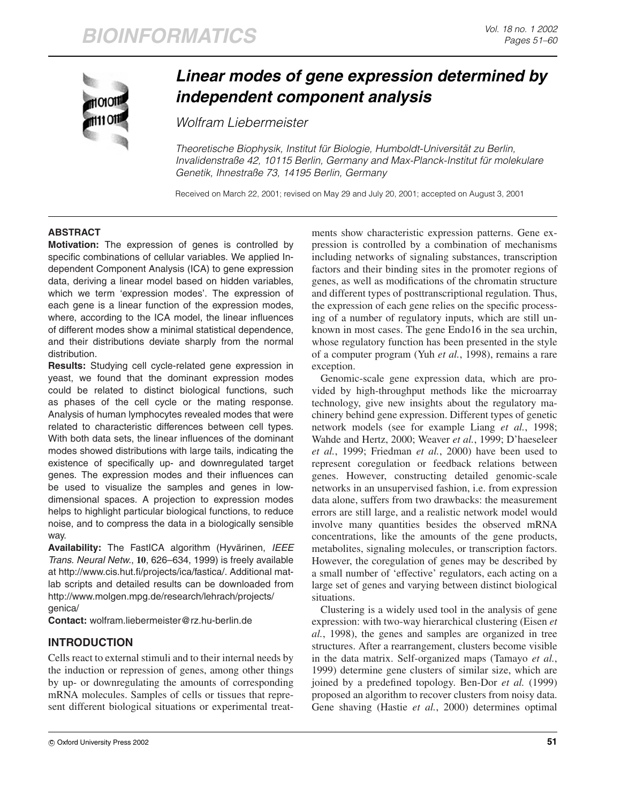

# *Linear modes of gene expression determined by independent component analysis*

*Wolfram Liebermeister*

*Theoretische Biophysik, Institut f ¨ur Biologie, Humboldt-Universitat zu Berlin, ¨* Invalidenstraße 42, 10115 Berlin, Germany and Max-Planck-Institut für molekulare *Genetik, Ihnestraße 73, 14195 Berlin, Germany*

Received on March 22, 2001; revised on May 29 and July 20, 2001; accepted on August 3, 2001

# **ABSTRACT**

**Motivation:** The expression of genes is controlled by specific combinations of cellular variables. We applied Independent Component Analysis (ICA) to gene expression data, deriving a linear model based on hidden variables, which we term 'expression modes'. The expression of each gene is a linear function of the expression modes, where, according to the ICA model, the linear influences of different modes show a minimal statistical dependence, and their distributions deviate sharply from the normal distribution.

**Results:** Studying cell cycle-related gene expression in yeast, we found that the dominant expression modes could be related to distinct biological functions, such as phases of the cell cycle or the mating response. Analysis of human lymphocytes revealed modes that were related to characteristic differences between cell types. With both data sets, the linear influences of the dominant modes showed distributions with large tails, indicating the existence of specifically up- and downregulated target genes. The expression modes and their influences can be used to visualize the samples and genes in lowdimensional spaces. A projection to expression modes helps to highlight particular biological functions, to reduce noise, and to compress the data in a biologically sensible way.

**Availability:** The FastICA algorithm (Hyvärinen, *IEEE Trans. Neural Netw.*, **10**, 626–634, 1999) is freely available at http://www.cis.hut.fi/projects/ica/fastica/. Additional matlab scripts and detailed results can be downloaded from http://www.molgen.mpg.de/research/lehrach/projects/ genica/

**Contact:** wolfram.liebermeister@rz.hu-berlin.de

# **INTRODUCTION**

Cells react to external stimuli and to their internal needs by the induction or repression of genes, among other things by up- or downregulating the amounts of corresponding mRNA molecules. Samples of cells or tissues that represent different biological situations or experimental treat-

ments show characteristic expression patterns. Gene expression is controlled by a combination of mechanisms including networks of signaling substances, transcription factors and their binding sites in the promoter regions of genes, as well as modifications of the chromatin structure and different types of posttranscriptional regulation. Thus, the expression of each gene relies on the specific processing of a number of regulatory inputs, which are still unknown in most cases. The gene Endo16 in the sea urchin, whose regulatory function has been presented in the style of a computer program (Yuh *et al.*, 1998), remains a rare exception.

Genomic-scale gene expression data, which are provided by high-throughput methods like the microarray technology, give new insights about the regulatory machinery behind gene expression. Different types of genetic network models (see for example Liang *et al.*, 1998; Wahde and Hertz, 2000; Weaver *et al.*, 1999; D'haeseleer *et al.*, 1999; Friedman *et al.*, 2000) have been used to represent coregulation or feedback relations between genes. However, constructing detailed genomic-scale networks in an unsupervised fashion, i.e. from expression data alone, suffers from two drawbacks: the measurement errors are still large, and a realistic network model would involve many quantities besides the observed mRNA concentrations, like the amounts of the gene products, metabolites, signaling molecules, or transcription factors. However, the coregulation of genes may be described by a small number of 'effective' regulators, each acting on a large set of genes and varying between distinct biological situations.

Clustering is a widely used tool in the analysis of gene expression: with two-way hierarchical clustering (Eisen *et al.*, 1998), the genes and samples are organized in tree structures. After a rearrangement, clusters become visible in the data matrix. Self-organized maps (Tamayo *et al.*, 1999) determine gene clusters of similar size, which are joined by a predefined topology. Ben-Dor *et al.* (1999) proposed an algorithm to recover clusters from noisy data. Gene shaving (Hastie *et al.*, 2000) determines optimal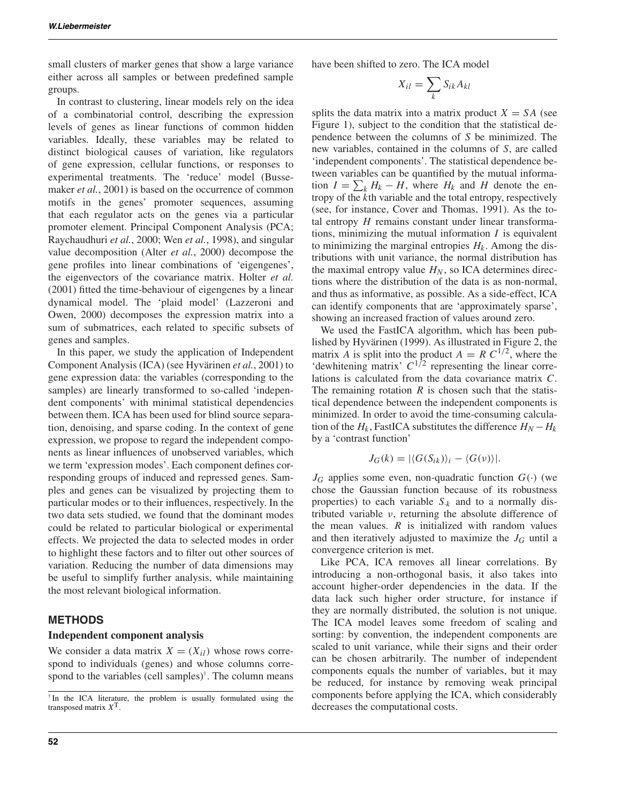small clusters of marker genes that show a large variance either across all samples or between predefined sample groups.

In contrast to clustering, linear models rely on the idea of a combinatorial control, describing the expression levels of genes as linear functions of common hidden variables. Ideally, these variables may be related to distinct biological causes of variation, like regulators of gene expression, cellular functions, or responses to experimental treatments. The 'reduce' model (Bussemaker *et al.*, 2001) is based on the occurrence of common motifs in the genes' promoter sequences, assuming that each regulator acts on the genes via a particular promoter element. Principal Component Analysis (PCA; Raychaudhuri *et al.*, 2000; Wen *et al.*, 1998), and singular value decomposition (Alter *et al.*, 2000) decompose the gene profiles into linear combinations of 'eigengenes', the eigenvectors of the covariance matrix. Holter *et al.* (2001) fitted the time-behaviour of eigengenes by a linear dynamical model. The 'plaid model' (Lazzeroni and Owen, 2000) decomposes the expression matrix into a sum of submatrices, each related to specific subsets of genes and samples.

In this paper, we study the application of Independent Component Analysis (ICA) (see Hyvärinen *et al.*, 2001) to gene expression data: the variables (corresponding to the samples) are linearly transformed to so-called 'independent components' with minimal statistical dependencies between them. ICA has been used for blind source separation, denoising, and sparse coding. In the context of gene expression, we propose to regard the independent components as linear influences of unobserved variables, which we term 'expression modes'. Each component defines corresponding groups of induced and repressed genes. Samples and genes can be visualized by projecting them to particular modes or to their influences, respectively. In the two data sets studied, we found that the dominant modes could be related to particular biological or experimental effects. We projected the data to selected modes in order to highlight these factors and to filter out other sources of variation. Reducing the number of data dimensions may be useful to simplify further analysis, while maintaining the most relevant biological information.

## **METHODS**

## **Independent component analysis**

We consider a data matrix  $X = (X_{il})$  whose rows correspond to individuals (genes) and whose columns correspond to the variables (cell samples)† . The column means have been shifted to zero. The ICA model

$$
X_{il} = \sum_{k} S_{ik} A_{kl}
$$

splits the data matrix into a matrix product  $X = SA$  (see Figure 1), subject to the condition that the statistical dependence between the columns of *S* be minimized. The new variables, contained in the columns of *S*, are called 'independent components'. The statistical dependence between variables can be quantified by the mutual information  $I = \sum_k H_k - H$ , where  $H_k$  and  $H$  denote the entropy of the *k*th variable and the total entropy, respectively (see, for instance, Cover and Thomas, 1991). As the total entropy *H* remains constant under linear transformations, minimizing the mutual information *I* is equivalent to minimizing the marginal entropies  $H_k$ . Among the distributions with unit variance, the normal distribution has the maximal entropy value  $H_N$ , so ICA determines directions where the distribution of the data is as non-normal, and thus as informative, as possible. As a side-effect, ICA can identify components that are 'approximately sparse', showing an increased fraction of values around zero.

We used the FastICA algorithm, which has been published by Hyvärinen (1999). As illustrated in Figure 2, the matrix *A* is split into the product  $A = R C^{1/2}$ , where the 'dewhitening matrix'  $C^{1/2}$  representing the linear correlations is calculated from the data covariance matrix *C*. The remaining rotation  $R$  is chosen such that the statistical dependence between the independent components is minimized. In order to avoid the time-consuming calculation of the  $H_k$ , FastICA substitutes the difference  $H_N - H_k$ by a 'contrast function'

$$
J_G(k) = |\langle G(S_{ik})\rangle_i - \langle G(v)\rangle|.
$$

 $J_G$  applies some even, non-quadratic function  $G(·)$  (we chose the Gaussian function because of its robustness properties) to each variable  $S_k$  and to a normally distributed variable  $\nu$ , returning the absolute difference of the mean values.  $R$  is initialized with random values and then iteratively adjusted to maximize the  $J_G$  until a convergence criterion is met.

Like PCA, ICA removes all linear correlations. By introducing a non-orthogonal basis, it also takes into account higher-order dependencies in the data. If the data lack such higher order structure, for instance if they are normally distributed, the solution is not unique. The ICA model leaves some freedom of scaling and sorting: by convention, the independent components are scaled to unit variance, while their signs and their order can be chosen arbitrarily. The number of independent components equals the number of variables, but it may be reduced, for instance by removing weak principal components before applying the ICA, which considerably decreases the computational costs.

<sup>†</sup> In the ICA literature, the problem is usually formulated using the transposed matrix *X*T.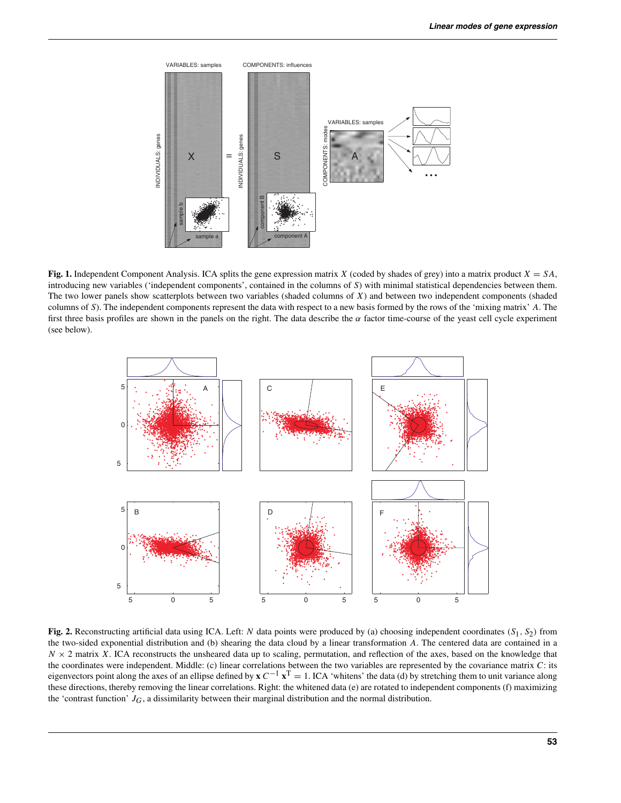

**Fig. 1.** Independent Component Analysis. ICA splits the gene expression matrix *X* (coded by shades of grey) into a matrix product  $X = SA$ , introducing new variables ('independent components', contained in the columns of *S*) with minimal statistical dependencies between them. The two lower panels show scatterplots between two variables (shaded columns of *X*) and between two independent components (shaded columns of *S*). The independent components represent the data with respect to a new basis formed by the rows of the 'mixing matrix' *A*. The first three basis profiles are shown in the panels on the right. The data describe the  $\alpha$  factor time-course of the yeast cell cycle experiment (see below).



**Fig. 2.** Reconstructing artificial data using ICA. Left: *N* data points were produced by (a) choosing independent coordinates  $(S_1, S_2)$  from the two-sided exponential distribution and (b) shearing the data cloud by a linear transformation *A*. The centered data are contained in a  $N \times 2$  matrix *X*. ICA reconstructs the unsheared data up to scaling, permutation, and reflection of the axes, based on the knowledge that the coordinates were independent. Middle: (c) linear correlations between the two variables are represented by the covariance matrix *C*: its eigenvectors point along the axes of an ellipse defined by **x**  $C^{-1}$ **x**<sup>T</sup> = 1. ICA 'whitens' the data (d) by stretching them to unit variance along these directions, thereby removing the linear correlations. Right: the whitened data (e) are rotated to independent components (f) maximizing the 'contrast function'  $J_G$ , a dissimilarity between their marginal distribution and the normal distribution.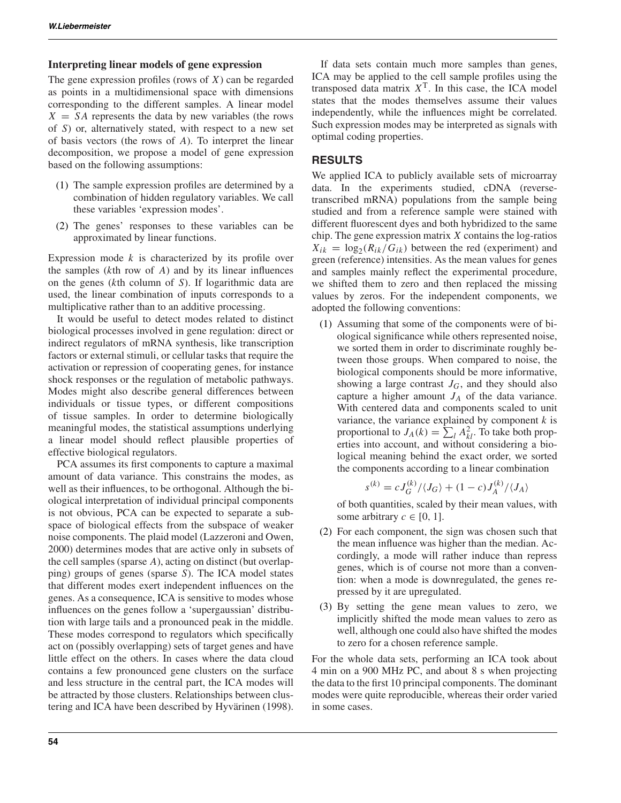#### **Interpreting linear models of gene expression**

The gene expression profiles (rows of *X*) can be regarded as points in a multidimensional space with dimensions corresponding to the different samples. A linear model  $X = SA$  represents the data by new variables (the rows of *S*) or, alternatively stated, with respect to a new set of basis vectors (the rows of *A*). To interpret the linear decomposition, we propose a model of gene expression based on the following assumptions:

- (1) The sample expression profiles are determined by a combination of hidden regulatory variables. We call these variables 'expression modes'.
- (2) The genes' responses to these variables can be approximated by linear functions.

Expression mode *k* is characterized by its profile over the samples (*k*th row of *A*) and by its linear influences on the genes (*k*th column of *S*). If logarithmic data are used, the linear combination of inputs corresponds to a multiplicative rather than to an additive processing.

It would be useful to detect modes related to distinct biological processes involved in gene regulation: direct or indirect regulators of mRNA synthesis, like transcription factors or external stimuli, or cellular tasks that require the activation or repression of cooperating genes, for instance shock responses or the regulation of metabolic pathways. Modes might also describe general differences between individuals or tissue types, or different compositions of tissue samples. In order to determine biologically meaningful modes, the statistical assumptions underlying a linear model should reflect plausible properties of effective biological regulators.

PCA assumes its first components to capture a maximal amount of data variance. This constrains the modes, as well as their influences, to be orthogonal. Although the biological interpretation of individual principal components is not obvious, PCA can be expected to separate a subspace of biological effects from the subspace of weaker noise components. The plaid model (Lazzeroni and Owen, 2000) determines modes that are active only in subsets of the cell samples (sparse *A*), acting on distinct (but overlapping) groups of genes (sparse *S*). The ICA model states that different modes exert independent influences on the genes. As a consequence, ICA is sensitive to modes whose influences on the genes follow a 'supergaussian' distribution with large tails and a pronounced peak in the middle. These modes correspond to regulators which specifically act on (possibly overlapping) sets of target genes and have little effect on the others. In cases where the data cloud contains a few pronounced gene clusters on the surface and less structure in the central part, the ICA modes will be attracted by those clusters. Relationships between clustering and ICA have been described by Hyvärinen (1998).

If data sets contain much more samples than genes, ICA may be applied to the cell sample profiles using the transposed data matrix  $X<sup>T</sup>$ . In this case, the ICA model states that the modes themselves assume their values independently, while the influences might be correlated. Such expression modes may be interpreted as signals with optimal coding properties.

## **RESULTS**

We applied ICA to publicly available sets of microarray data. In the experiments studied, cDNA (reversetranscribed mRNA) populations from the sample being studied and from a reference sample were stained with different fluorescent dyes and both hybridized to the same chip. The gene expression matrix *X* contains the log-ratios  $X_{ik} = \log_2(R_{ik}/G_{ik})$  between the red (experiment) and green (reference) intensities. As the mean values for genes and samples mainly reflect the experimental procedure, we shifted them to zero and then replaced the missing values by zeros. For the independent components, we adopted the following conventions:

(1) Assuming that some of the components were of biological significance while others represented noise, we sorted them in order to discriminate roughly between those groups. When compared to noise, the biological components should be more informative, showing a large contrast  $J_G$ , and they should also capture a higher amount  $J_A$  of the data variance. With centered data and components scaled to unit variance, the variance explained by component *k* is proportional to  $J_A(k) = \sum_l A_{kl}^2$ . To take both properties into account, and without considering a biological meaning behind the exact order, we sorted the components according to a linear combination

$$
s^{(k)} = c J_G^{(k)} / \langle J_G \rangle + (1 - c) J_A^{(k)} / \langle J_A \rangle
$$

of both quantities, scaled by their mean values, with some arbitrary  $c \in [0, 1]$ .

- (2) For each component, the sign was chosen such that the mean influence was higher than the median. Accordingly, a mode will rather induce than repress genes, which is of course not more than a convention: when a mode is downregulated, the genes repressed by it are upregulated.
- (3) By setting the gene mean values to zero, we implicitly shifted the mode mean values to zero as well, although one could also have shifted the modes to zero for a chosen reference sample.

For the whole data sets, performing an ICA took about 4 min on a 900 MHz PC, and about 8 s when projecting the data to the first 10 principal components. The dominant modes were quite reproducible, whereas their order varied in some cases.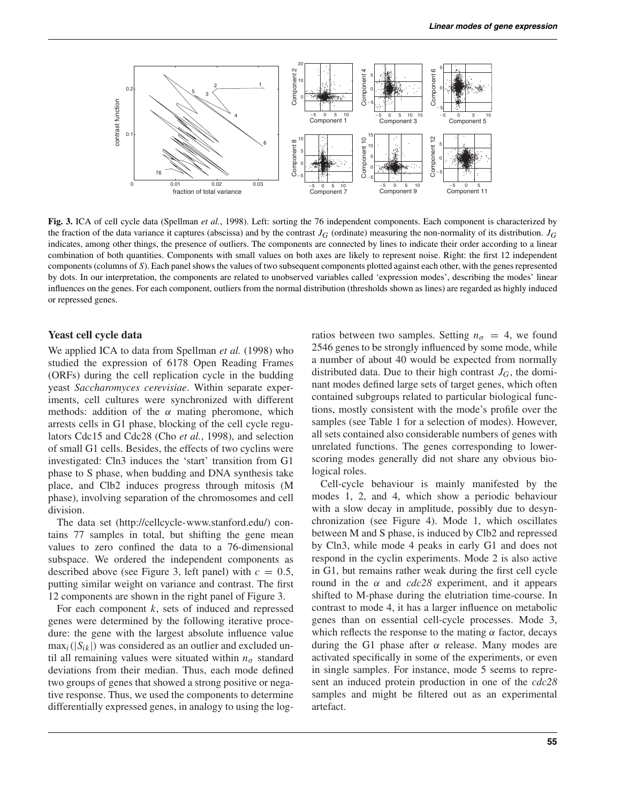

**Fig. 3.** ICA of cell cycle data (Spellman *et al.*, 1998). Left: sorting the 76 independent components. Each component is characterized by the fraction of the data variance it captures (abscissa) and by the contrast  $J_G$  (ordinate) measuring the non-normality of its distribution.  $J_G$ indicates, among other things, the presence of outliers. The components are connected by lines to indicate their order according to a linear combination of both quantities. Components with small values on both axes are likely to represent noise. Right: the first 12 independent components (columns of *S*). Each panel shows the values of two subsequent components plotted against each other, with the genes represented by dots. In our interpretation, the components are related to unobserved variables called 'expression modes', describing the modes' linear influences on the genes. For each component, outliers from the normal distribution (thresholds shown as lines) are regarded as highly induced or repressed genes.

## **Yeast cell cycle data**

We applied ICA to data from Spellman *et al.* (1998) who studied the expression of 6178 Open Reading Frames (ORFs) during the cell replication cycle in the budding yeast *Saccharomyces cerevisiae*. Within separate experiments, cell cultures were synchronized with different methods: addition of the  $\alpha$  mating pheromone, which arrests cells in G1 phase, blocking of the cell cycle regulators Cdc15 and Cdc28 (Cho *et al.*, 1998), and selection of small G1 cells. Besides, the effects of two cyclins were investigated: Cln3 induces the 'start' transition from G1 phase to S phase, when budding and DNA synthesis take place, and Clb2 induces progress through mitosis (M phase), involving separation of the chromosomes and cell division.

The data set (http://cellcycle-www.stanford.edu/) contains 77 samples in total, but shifting the gene mean values to zero confined the data to a 76-dimensional subspace. We ordered the independent components as described above (see Figure 3, left panel) with  $c = 0.5$ , putting similar weight on variance and contrast. The first 12 components are shown in the right panel of Figure 3.

For each component *k*, sets of induced and repressed genes were determined by the following iterative procedure: the gene with the largest absolute influence value  $max<sub>i</sub>(|S<sub>ik</sub>|)$  was considered as an outlier and excluded until all remaining values were situated within  $n_{\sigma}$  standard deviations from their median. Thus, each mode defined two groups of genes that showed a strong positive or negative response. Thus, we used the components to determine differentially expressed genes, in analogy to using the logratios between two samples. Setting  $n_{\sigma} = 4$ , we found 2546 genes to be strongly influenced by some mode, while a number of about 40 would be expected from normally distributed data. Due to their high contrast  $J_G$ , the dominant modes defined large sets of target genes, which often contained subgroups related to particular biological functions, mostly consistent with the mode's profile over the samples (see Table 1 for a selection of modes). However, all sets contained also considerable numbers of genes with unrelated functions. The genes corresponding to lowerscoring modes generally did not share any obvious biological roles.

Cell-cycle behaviour is mainly manifested by the modes 1, 2, and 4, which show a periodic behaviour with a slow decay in amplitude, possibly due to desynchronization (see Figure 4). Mode 1, which oscillates between M and S phase, is induced by Clb2 and repressed by Cln3, while mode 4 peaks in early G1 and does not respond in the cyclin experiments. Mode 2 is also active in G1, but remains rather weak during the first cell cycle round in the  $\alpha$  and *cdc28* experiment, and it appears shifted to M-phase during the elutriation time-course. In contrast to mode 4, it has a larger influence on metabolic genes than on essential cell-cycle processes. Mode 3, which reflects the response to the mating  $\alpha$  factor, decays during the G1 phase after  $\alpha$  release. Many modes are activated specifically in some of the experiments, or even in single samples. For instance, mode 5 seems to represent an induced protein production in one of the *cdc28* samples and might be filtered out as an experimental artefact.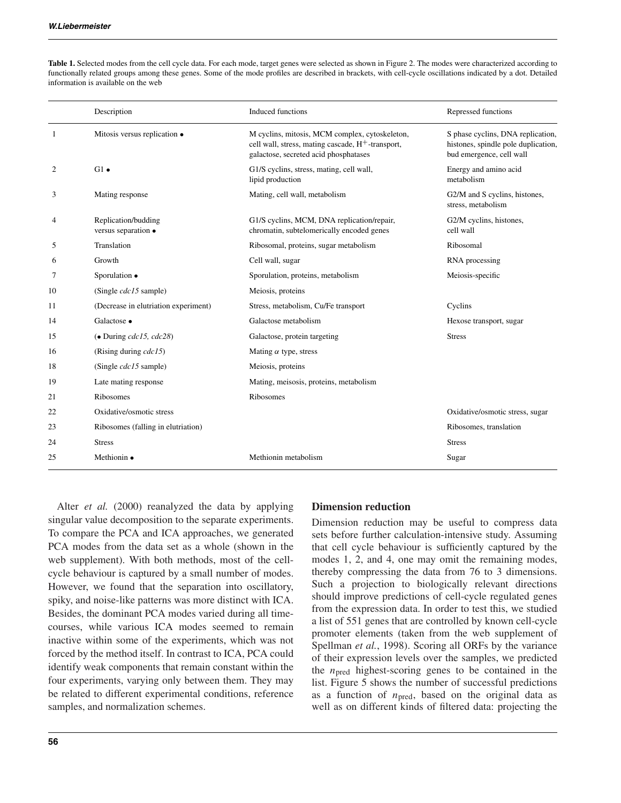Table 1. Selected modes from the cell cycle data. For each mode, target genes were selected as shown in Figure 2. The modes were characterized according to functionally related groups among these genes. Some of the mode profiles are described in brackets, with cell-cycle oscillations indicated by a dot. Detailed information is available on the web

|    | Description                                | Induced functions                                                                                                                               | Repressed functions                                 |
|----|--------------------------------------------|-------------------------------------------------------------------------------------------------------------------------------------------------|-----------------------------------------------------|
| 1  | Mitosis versus replication •               | M cyclins, mitosis, MCM complex, cytoskeleton,<br>cell wall, stress, mating cascade, $H^+$ -transport,<br>galactose, secreted acid phosphatases |                                                     |
| 2  | G1                                         | G1/S cyclins, stress, mating, cell wall,<br>lipid production                                                                                    | Energy and amino acid<br>metabolism                 |
| 3  | Mating response                            | Mating, cell wall, metabolism                                                                                                                   | G2/M and S cyclins, histones,<br>stress, metabolism |
| 4  | Replication/budding<br>versus separation • | G1/S cyclins, MCM, DNA replication/repair,<br>chromatin, subtelomerically encoded genes                                                         | G2/M cyclins, histones,<br>cell wall                |
| 5  | Translation                                | Ribosomal, proteins, sugar metabolism                                                                                                           | Ribosomal                                           |
| 6  | Growth                                     | Cell wall, sugar                                                                                                                                | RNA processing                                      |
| 7  | Sporulation $\bullet$                      | Sporulation, proteins, metabolism                                                                                                               | Meiosis-specific                                    |
| 10 | (Single $cdc15$ sample)                    | Meiosis, proteins                                                                                                                               |                                                     |
| 11 | (Decrease in elutriation experiment)       | Stress, metabolism, Cu/Fe transport                                                                                                             | Cyclins                                             |
| 14 | Galactose •                                | Galactose metabolism                                                                                                                            | Hexose transport, sugar                             |
| 15 | $\bullet$ During cdc15, cdc28)             | Galactose, protein targeting                                                                                                                    | <b>Stress</b>                                       |
| 16 | (Rising during $cdc15$ )                   | Mating $\alpha$ type, stress                                                                                                                    |                                                     |
| 18 | (Single $cdc15$ sample)                    | Meiosis, proteins                                                                                                                               |                                                     |
| 19 | Late mating response                       | Mating, meisosis, proteins, metabolism                                                                                                          |                                                     |
| 21 | Ribosomes                                  | Ribosomes                                                                                                                                       |                                                     |
| 22 | Oxidative/osmotic stress                   |                                                                                                                                                 | Oxidative/osmotic stress, sugar                     |
| 23 | Ribosomes (falling in elutriation)         |                                                                                                                                                 | Ribosomes, translation                              |
| 24 | <b>Stress</b>                              |                                                                                                                                                 | <b>Stress</b>                                       |
| 25 | Methionin •                                | Methionin metabolism                                                                                                                            | Sugar                                               |

Alter *et al.* (2000) reanalyzed the data by applying singular value decomposition to the separate experiments. To compare the PCA and ICA approaches, we generated PCA modes from the data set as a whole (shown in the web supplement). With both methods, most of the cellcycle behaviour is captured by a small number of modes. However, we found that the separation into oscillatory, spiky, and noise-like patterns was more distinct with ICA. Besides, the dominant PCA modes varied during all timecourses, while various ICA modes seemed to remain inactive within some of the experiments, which was not forced by the method itself. In contrast to ICA, PCA could identify weak components that remain constant within the four experiments, varying only between them. They may be related to different experimental conditions, reference samples, and normalization schemes.

## **Dimension reduction**

Dimension reduction may be useful to compress data sets before further calculation-intensive study. Assuming that cell cycle behaviour is sufficiently captured by the modes 1, 2, and 4, one may omit the remaining modes, thereby compressing the data from 76 to 3 dimensions. Such a projection to biologically relevant directions should improve predictions of cell-cycle regulated genes from the expression data. In order to test this, we studied a list of 551 genes that are controlled by known cell-cycle promoter elements (taken from the web supplement of Spellman *et al.*, 1998). Scoring all ORFs by the variance of their expression levels over the samples, we predicted the  $n<sub>pred</sub>$  highest-scoring genes to be contained in the list. Figure 5 shows the number of successful predictions as a function of *n*pred, based on the original data as well as on different kinds of filtered data: projecting the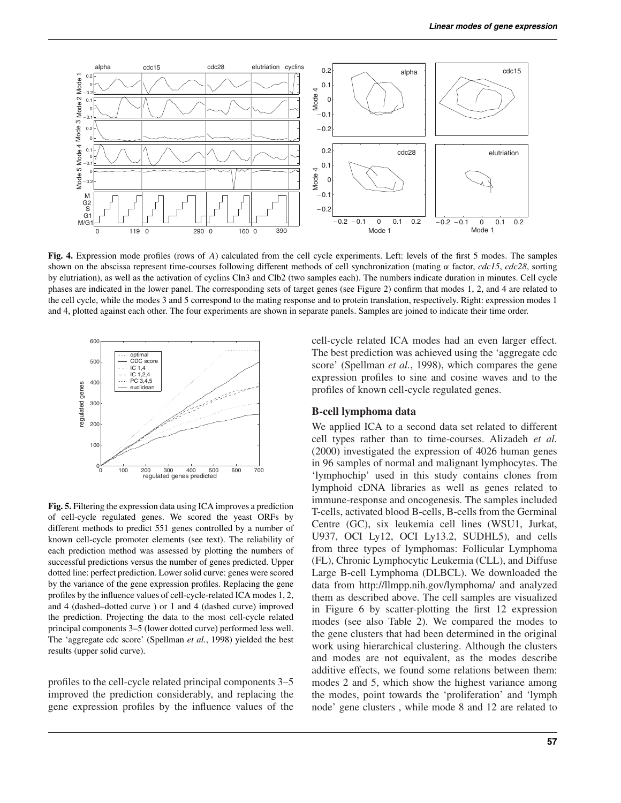

**Fig. 4.** Expression mode profiles (rows of *A*) calculated from the cell cycle experiments. Left: levels of the first 5 modes. The samples shown on the abscissa represent time-courses following different methods of cell synchronization (mating α factor, *cdc15*, *cdc28*, sorting by elutriation), as well as the activation of cyclins Cln3 and Clb2 (two samples each). The numbers indicate duration in minutes. Cell cycle phases are indicated in the lower panel. The corresponding sets of target genes (see Figure 2) confirm that modes 1, 2, and 4 are related to the cell cycle, while the modes 3 and 5 correspond to the mating response and to protein translation, respectively. Right: expression modes 1 and 4, plotted against each other. The four experiments are shown in separate panels. Samples are joined to indicate their time order.



**Fig. 5.** Filtering the expression data using ICA improves a prediction of cell-cycle regulated genes. We scored the yeast ORFs by different methods to predict 551 genes controlled by a number of known cell-cycle promoter elements (see text). The reliability of each prediction method was assessed by plotting the numbers of successful predictions versus the number of genes predicted. Upper dotted line: perfect prediction. Lower solid curve: genes were scored by the variance of the gene expression profiles. Replacing the gene profiles by the influence values of cell-cycle-related ICA modes 1, 2, and 4 (dashed–dotted curve ) or 1 and 4 (dashed curve) improved the prediction. Projecting the data to the most cell-cycle related principal components 3–5 (lower dotted curve) performed less well. The 'aggregate cdc score' (Spellman *et al.*, 1998) yielded the best results (upper solid curve).

profiles to the cell-cycle related principal components 3–5 improved the prediction considerably, and replacing the gene expression profiles by the influence values of the cell-cycle related ICA modes had an even larger effect. The best prediction was achieved using the 'aggregate cdc score' (Spellman *et al.*, 1998), which compares the gene expression profiles to sine and cosine waves and to the profiles of known cell-cycle regulated genes.

#### **B-cell lymphoma data**

We applied ICA to a second data set related to different cell types rather than to time-courses. Alizadeh *et al.* (2000) investigated the expression of 4026 human genes in 96 samples of normal and malignant lymphocytes. The 'lymphochip' used in this study contains clones from lymphoid cDNA libraries as well as genes related to immune-response and oncogenesis. The samples included T-cells, activated blood B-cells, B-cells from the Germinal Centre (GC), six leukemia cell lines (WSU1, Jurkat, U937, OCI Ly12, OCI Ly13.2, SUDHL5), and cells from three types of lymphomas: Follicular Lymphoma (FL), Chronic Lymphocytic Leukemia (CLL), and Diffuse Large B-cell Lymphoma (DLBCL). We downloaded the data from http://llmpp.nih.gov/lymphoma/ and analyzed them as described above. The cell samples are visualized in Figure 6 by scatter-plotting the first 12 expression modes (see also Table 2). We compared the modes to the gene clusters that had been determined in the original work using hierarchical clustering. Although the clusters and modes are not equivalent, as the modes describe additive effects, we found some relations between them: modes 2 and 5, which show the highest variance among the modes, point towards the 'proliferation' and 'lymph node' gene clusters , while mode 8 and 12 are related to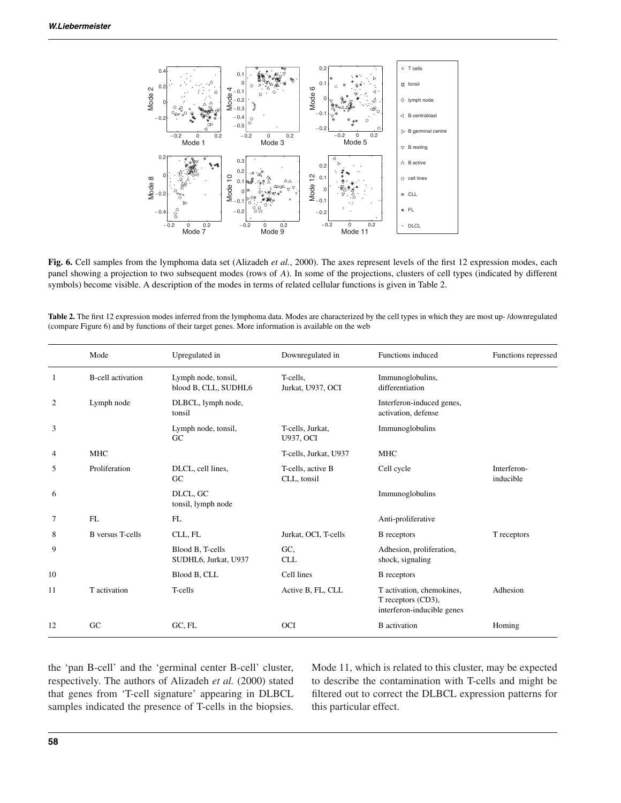

**Fig. 6.** Cell samples from the lymphoma data set (Alizadeh *et al.*, 2000). The axes represent levels of the first 12 expression modes, each panel showing a projection to two subsequent modes (rows of *A*). In some of the projections, clusters of cell types (indicated by different symbols) become visible. A description of the modes in terms of related cellular functions is given in Table 2.

| Table 2. The first 12 expression modes inferred from the lymphoma data. Modes are characterized by the cell types in which they are most up-/downregulated |  |
|------------------------------------------------------------------------------------------------------------------------------------------------------------|--|
| (compare Figure 6) and by functions of their target genes. More information is available on the web                                                        |  |

|    | Mode                     | Upregulated in                              | Downregulated in                     | Functions induced                                                             | Functions repressed      |
|----|--------------------------|---------------------------------------------|--------------------------------------|-------------------------------------------------------------------------------|--------------------------|
|    | <b>B-cell</b> activation | Lymph node, tonsil,<br>blood B, CLL, SUDHL6 | T-cells,<br>Jurkat, U937, OCI        | Immunoglobulins,<br>differentiation                                           |                          |
| 2  | Lymph node               | DLBCL, lymph node,<br>tonsil                |                                      | Interferon-induced genes,<br>activation, defense                              |                          |
| 3  |                          | Lymph node, tonsil,<br>GC                   | T-cells, Jurkat,<br><b>U937, OCI</b> | Immunoglobulins                                                               |                          |
| 4  | <b>MHC</b>               |                                             | T-cells, Jurkat, U937                | <b>MHC</b>                                                                    |                          |
| 5  | Proliferation            | DLCL, cell lines,<br>GC                     | T-cells, active B<br>CLL, tonsil     | Cell cycle                                                                    | Interferon-<br>inducible |
| 6  |                          | DLCL, GC<br>tonsil, lymph node              |                                      | Immunoglobulins                                                               |                          |
| 7  | FL                       | FL                                          |                                      | Anti-proliferative                                                            |                          |
| 8  | <b>B</b> versus T-cells  | CLL, FL                                     | Jurkat, OCI, T-cells                 | <b>B</b> receptors                                                            | T receptors              |
| 9  |                          | Blood B, T-cells<br>SUDHL6, Jurkat, U937    | GC,<br><b>CLL</b>                    | Adhesion, proliferation,<br>shock, signaling                                  |                          |
| 10 |                          | Blood B, CLL                                | Cell lines                           | <b>B</b> receptors                                                            |                          |
| 11 | T activation             | T-cells                                     | Active B, FL, CLL                    | T activation, chemokines,<br>T receptors (CD3),<br>interferon-inducible genes | Adhesion                 |
| 12 | GC                       | GC, FL                                      | <b>OCI</b>                           | <b>B</b> activation                                                           | Homing                   |

the 'pan B-cell' and the 'germinal center B-cell' cluster, respectively. The authors of Alizadeh *et al.* (2000) stated that genes from 'T-cell signature' appearing in DLBCL samples indicated the presence of T-cells in the biopsies.

Mode 11, which is related to this cluster, may be expected to describe the contamination with T-cells and might be filtered out to correct the DLBCL expression patterns for this particular effect.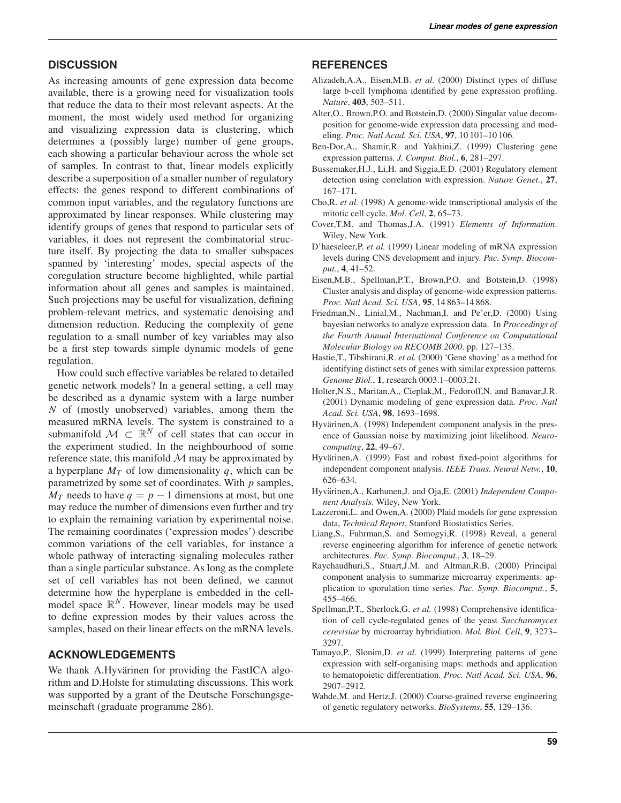### **DISCUSSION**

As increasing amounts of gene expression data become available, there is a growing need for visualization tools that reduce the data to their most relevant aspects. At the moment, the most widely used method for organizing and visualizing expression data is clustering, which determines a (possibly large) number of gene groups, each showing a particular behaviour across the whole set of samples. In contrast to that, linear models explicitly describe a superposition of a smaller number of regulatory effects: the genes respond to different combinations of common input variables, and the regulatory functions are approximated by linear responses. While clustering may identify groups of genes that respond to particular sets of variables, it does not represent the combinatorial structure itself. By projecting the data to smaller subspaces spanned by 'interesting' modes, special aspects of the coregulation structure become highlighted, while partial information about all genes and samples is maintained. Such projections may be useful for visualization, defining problem-relevant metrics, and systematic denoising and dimension reduction. Reducing the complexity of gene regulation to a small number of key variables may also be a first step towards simple dynamic models of gene regulation.

How could such effective variables be related to detailed genetic network models? In a general setting, a cell may be described as a dynamic system with a large number *N* of (mostly unobserved) variables, among them the measured mRNA levels. The system is constrained to a submanifold  $M \subset \mathbb{R}^N$  of cell states that can occur in the experiment studied. In the neighbourhood of some reference state, this manifold *M* may be approximated by a hyperplane  $M_T$  of low dimensionality q, which can be parametrized by some set of coordinates. With *p* samples,  $M_T$  needs to have  $q = p - 1$  dimensions at most, but one may reduce the number of dimensions even further and try to explain the remaining variation by experimental noise. The remaining coordinates ('expression modes') describe common variations of the cell variables, for instance a whole pathway of interacting signaling molecules rather than a single particular substance. As long as the complete set of cell variables has not been defined, we cannot determine how the hyperplane is embedded in the cellmodel space  $\mathbb{R}^N$ . However, linear models may be used to define expression modes by their values across the samples, based on their linear effects on the mRNA levels.

# **ACKNOWLEDGEMENTS**

We thank A.Hyvärinen for providing the FastICA algorithm and D.Holste for stimulating discussions. This work was supported by a grant of the Deutsche Forschungsgemeinschaft (graduate programme 286).

#### **REFERENCES**

- Alizadeh,A.A., Eisen,M.B. *et al.* (2000) Distinct types of diffuse large b-cell lymphoma identified by gene expression profiling. *Nature*, **403**, 503–511.
- Alter,O., Brown,P.O. and Botstein,D. (2000) Singular value decomposition for genome-wide expression data processing and modeling. *Proc. Natl Acad. Sci. USA*, **97**, 10 101–10 106.
- Ben-Dor,A., Shamir,R. and Yakhini,Z. (1999) Clustering gene expression patterns. *J. Comput. Biol.*, **6**, 281–297.
- Bussemaker,H.J., Li,H. and Siggia,E.D. (2001) Regulatory element detection using correlation with expression. *Nature Genet.*, **27**, 167–171.
- Cho,R. *et al.* (1998) A genome-wide transcriptional analysis of the mitotic cell cycle. *Mol. Cell*, **2**, 65–73.
- Cover,T.M. and Thomas,J.A. (1991) *Elements of Information*. Wiley, New York.
- D'haeseleer,P. *et al.* (1999) Linear modeling of mRNA expression levels during CNS development and injury. *Pac. Symp. Biocomput.*, **4**, 41–52.
- Eisen,M.B., Spellman,P.T., Brown,P.O. and Botstein,D. (1998) Cluster analysis and display of genome-wide expression patterns. *Proc. Natl Acad. Sci. USA*, **95**, 14 863–14 868.
- Friedman,N., Linial,M., Nachman,I. and Pe'er,D. (2000) Using bayesian networks to analyze expression data. In *Proceedings of the Fourth Annual International Conference on Computational Molecular Biology on RECOMB 2000*. pp. 127–135.
- Hastie,T., Tibshirani,R. *et al.* (2000) 'Gene shaving' as a method for identifying distinct sets of genes with similar expression patterns. *Genome Biol.*, **1**, research 0003.1–0003.21.
- Holter,N.S., Maritan,A., Cieplak,M., Fedoroff,N. and Banavar,J.R. (2001) Dynamic modeling of gene expression data. *Proc. Natl Acad. Sci. USA*, **98**, 1693–1698.
- Hyvärinen, A. (1998) Independent component analysis in the presence of Gaussian noise by maximizing joint likelihood. *Neurocomputing*, **22**, 49–67.
- Hyvärinen, A. (1999) Fast and robust fixed-point algorithms for independent component analysis. *IEEE Trans. Neural Netw.*, **10**, 626–634.
- Hyvärinen, A., Karhunen, J. and Oja, E. (2001) Independent Compo*nent Analysis*. Wiley, New York.
- Lazzeroni,L. and Owen,A. (2000) Plaid models for gene expression data, *Technical Report*, Stanford Biostatistics Series.
- Liang,S., Fuhrman,S. and Somogyi,R. (1998) Reveal, a general reverse engineering algorithm for inference of genetic network architectures. *Pac. Symp. Biocomput.*, **3**, 18–29.
- Raychaudhuri,S., Stuart,J.M. and Altman,R.B. (2000) Principal component analysis to summarize microarray experiments: application to sporulation time series. *Pac. Symp. Biocomput.*, **5**, 455–466.
- Spellman,P.T., Sherlock,G. *et al.* (1998) Comprehensive identification of cell cycle-regulated genes of the yeast *Saccharomyces cerevisiae* by microarray hybridiation. *Mol. Biol. Cell*, **9**, 3273– 3297.
- Tamayo,P., Slonim,D. *et al.* (1999) Interpreting patterns of gene expression with self-organising maps: methods and application to hematopoietic differentiation. *Proc. Natl Acad. Sci. USA*, **96**, 2907–2912.
- Wahde,M. and Hertz,J. (2000) Coarse-grained reverse engineering of genetic regulatory networks. *BioSystems*, **55**, 129–136.